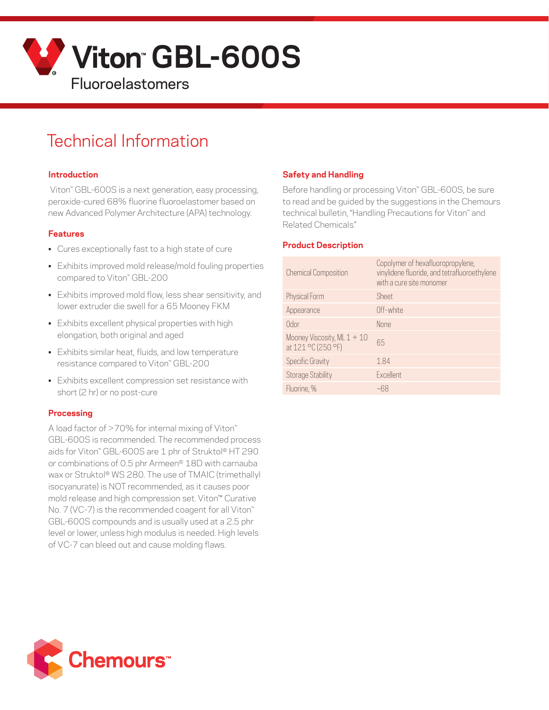

# Technical Information

#### **Introduction**

 Viton™ GBL-600S is a next generation, easy processing, peroxide-cured 68% fluorine fluoroelastomer based on new Advanced Polymer Architecture (APA) technology.

#### **Features**

- Cures exceptionally fast to a high state of cure
- Exhibits improved mold release/mold fouling properties compared to Viton™ GBL-200
- Exhibits improved mold flow, less shear sensitivity, and lower extruder die swell for a 65 Mooney FKM
- Exhibits excellent physical properties with high elongation, both original and aged
- Exhibits similar heat, fluids, and low temperature resistance compared to Viton™ GBL-200
- Exhibits excellent compression set resistance with short (2 hr) or no post-cure

#### **Processing**

A load factor of >70% for internal mixing of Viton™ GBL-600S is recommended. The recommended process aids for Viton™ GBL-600S are 1 phr of Struktol® HT 290 or combinations of 0.5 phr Armeen® 18D with carnauba wax or Struktol® WS 280. The use of TMAIC (trimethallyl isocyanurate) is NOT recommended, as it causes poor mold release and high compression set. Viton™ Curative No. 7 (VC-7) is the recommended coagent for all Viton™ GBL-600S compounds and is usually used at a 2.5 phr level or lower, unless high modulus is needed. High levels of VC-7 can bleed out and cause molding flaws.

## **Safety and Handling**

Before handling or processing Viton" GBL-600S, be sure to read and be guided by the suggestions in the Chemours technical bulletin, "Handling Precautions for Viton™ and Related Chemicals."

#### **Product Description**

| <b>Chemical Composition</b>                         | Copolymer of hexafluoropropylene,<br>vinylidene fluoride, and tetrafluoroethylene<br>with a cure site monomer |
|-----------------------------------------------------|---------------------------------------------------------------------------------------------------------------|
| Physical Form                                       | Sheet                                                                                                         |
| Appearance                                          | Off-white                                                                                                     |
| Odor                                                | None                                                                                                          |
| Mooney Viscosity, ML $1 + 10$<br>at 121 °C (250 °F) | 65                                                                                                            |
| <b>Specific Gravity</b>                             | 1.84                                                                                                          |
| Storage Stability                                   | Excellent                                                                                                     |
| Fluorine, %                                         |                                                                                                               |

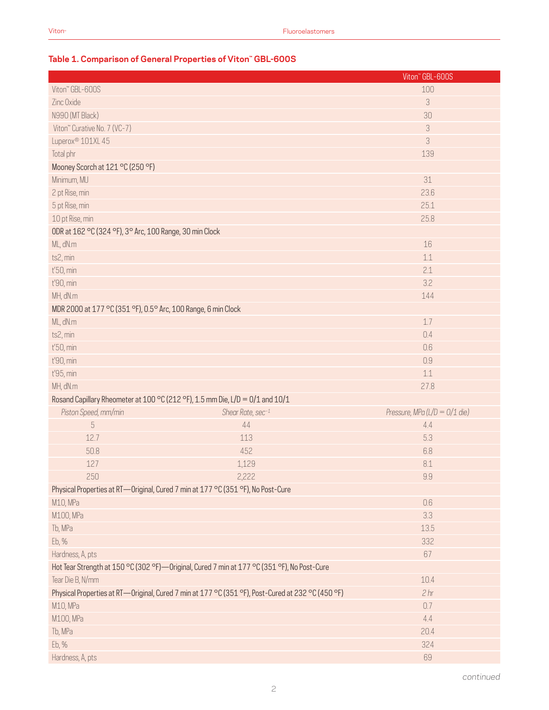# **Table 1. Comparison of General Properties of Viton™ GBL-600S**

|                                  |                                                                                                   | Viton" GBL-600S                 |
|----------------------------------|---------------------------------------------------------------------------------------------------|---------------------------------|
| Viton" GBL-600S                  |                                                                                                   | 100                             |
| Zinc Oxide                       |                                                                                                   | 3                               |
| N990 (MT Black)                  |                                                                                                   | 30                              |
| Viton" Curative No. 7 (VC-7)     |                                                                                                   | 3                               |
| Luperox <sup>®</sup> 101XL 45    |                                                                                                   | 3                               |
| Total phr                        |                                                                                                   | 139                             |
| Mooney Scorch at 121 °C (250 °F) |                                                                                                   |                                 |
| Minimum, MU                      |                                                                                                   | 31                              |
| 2 pt Rise, min                   |                                                                                                   | 23.6                            |
| 5 pt Rise, min                   |                                                                                                   | 25.1                            |
| 10 pt Rise, min                  |                                                                                                   | 25.8                            |
|                                  | ODR at 162 °C (324 °F), 3° Arc, 100 Range, 30 min Clock                                           |                                 |
| ML, dN.m                         |                                                                                                   | 16                              |
| ts2, min                         |                                                                                                   | 1.1                             |
| t'50, min                        |                                                                                                   | 2.1                             |
| t'90, min                        |                                                                                                   | 3.2                             |
| MH, dN.m                         |                                                                                                   | 144                             |
|                                  | MDR 2000 at 177 °C (351 °F), 0.5° Arc, 100 Range, 6 min Clock                                     |                                 |
| ML, dN.m                         |                                                                                                   | 1.7                             |
| ts2, min                         |                                                                                                   | 0.4                             |
| t'50, min                        |                                                                                                   | 0.6                             |
| t'90, min                        |                                                                                                   | 0.9                             |
| t'95, min                        |                                                                                                   | 1.1                             |
| MH, dN.m                         |                                                                                                   | 27.8                            |
|                                  | Rosand Capillary Rheometer at 100 °C (212 °F), 1.5 mm Die, L/D = 0/1 and 10/1                     |                                 |
| Piston Speed, mm/min             | Shear Rate, sec-1                                                                                 | Pressure, MPa (L/D = $0/1$ die) |
| $\overline{5}$                   | 44                                                                                                | 4.4                             |
| 12.7                             | 113                                                                                               | 5.3                             |
| 50.8                             | 452                                                                                               | 6.8                             |
| 127                              | 1,129                                                                                             | 8.1                             |
| 250                              | 2,222                                                                                             | 9.9                             |
|                                  | Physical Properties at RT-Original, Cured 7 min at 177 °C (351 °F), No Post-Cure                  |                                 |
| M10, MPa                         |                                                                                                   | $0.6\,$                         |
| M100, MPa                        |                                                                                                   | 3.3                             |
| Tb, MPa                          |                                                                                                   | 13.5                            |
| Eb, %                            |                                                                                                   | 332                             |
| Hardness, A, pts                 |                                                                                                   | 67                              |
|                                  | Hot Tear Strength at 150 °C (302 °F)—Original, Cured 7 min at 177 °C (351 °F), No Post-Cure       |                                 |
| Tear Die B, N/mm                 |                                                                                                   | 10.4                            |
|                                  | Physical Properties at RT-Original, Cured 7 min at 177 °C (351 °F), Post-Cured at 232 °C (450 °F) | 2 <sub>hr</sub>                 |
| M10, MPa                         |                                                                                                   | 0.7                             |
| M100, MPa                        |                                                                                                   | 4.4                             |
| Tb, MPa                          |                                                                                                   | 20.4                            |
| Eb, %                            |                                                                                                   | 324                             |
| Hardness, A, pts                 |                                                                                                   | 69                              |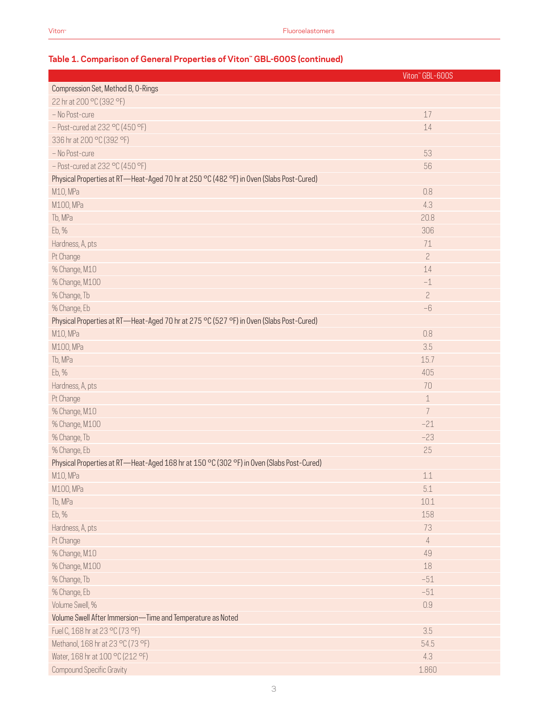# Viton™ GBL-600S Compression Set, Method B, O-Rings 22 hr at 200 °C (392 °F) – No Post-cure  $17$ – Post-cured at 232 °C (450 °F) 14 336 hr at 200 °C (392 °F) – No Post-cure 53 – Post-cured at 232 °C (450 °F) 56 Physical Properties at RT—Heat-Aged 70 hr at 250 °C (482 °F) in Oven (Slabs Post-Cured) M10, MPa 0.8 M100, MPa 4.3 Tb, MPa 20.8 Eb, % 306 Hardness, A, pts 71 Pt Change 2014 - Andreas Andreas Andreas Andreas Andreas Andreas Andreas Andreas Andreas Andreas Andreas Andre % Change, M10 14 % Change, M100 –1 % Change, Tb 2 % Change, Eb –6 Physical Properties at RT—Heat-Aged 70 hr at 275 °C (527 °F) in Oven (Slabs Post-Cured) M10, MPa 0.8 M100, MPa $\,$   $\,$  3.5  $\,$   $\,$  3.5  $\,$   $\,$  3.5  $\,$   $\,$  3.5  $\,$   $\,$  3.5  $\,$   $\,$  3.5  $\,$   $\,$  3.5  $\,$   $\,$  3.5  $\,$   $\,$  3.5  $\,$   $\,$  3.5  $\,$  3.5  $\,$  3.5  $\,$  3.5  $\,$  3.5  $\,$  3.5  $\,$  3.5  $\,$  3.5  $\,$  3.5 Tb, MPa  $15.7$ Eb, % 405 Hardness, A, pts 70 Pt Change 2014 - The Change 2014 - The Change 2014 - The Change 2014 - The Change 2014 - The Change 2014 - The % Change, M10 7  $\sim$  7  $\sim$  7  $\sim$  7  $\sim$  7  $\sim$  7  $\sim$  7  $\sim$  7  $\sim$  7  $\sim$  7  $\sim$  7  $\sim$  7  $\sim$  7  $\sim$  7  $\sim$  7  $\sim$  7  $\sim$  7  $\sim$  7  $\sim$  7  $\sim$  7  $\sim$  7  $\sim$  7  $\sim$  7  $\sim$  7  $\sim$  7  $\sim$  7  $\sim$  7  $\sim$  7  $\sim$  7  $\sim$  7  $\sim$ % Change, M100 –21 % Change, Tb –23 % Change, Eb 25 Physical Properties at RT—Heat-Aged 168 hr at 150 °C (302 °F) in Oven (Slabs Post-Cured) M10, MPa  $1.1$ M100, MPa $\,$  5.1  $\,$  5.1  $\,$  5.1  $\,$  5.1  $\,$  5.1  $\,$  5.1  $\,$  5.1  $\,$  5.1  $\,$  5.1  $\,$  5.1  $\,$  5.1  $\,$  5.1  $\,$  5.1  $\,$  5.1  $\,$  5.1  $\,$  5.1  $\,$  5.1  $\,$  5.1  $\,$  5.1  $\,$  5.1  $\,$  5.1  $\,$  5.1  $\,$  5.1  $\,$  Tb, MPa  $10.1$ Eb, % the contract of the contract of the contract of the contract of the contract of the contract of the contract of the contract of the contract of the contract of the contract of the contract of the contract of the con Hardness, A, pts 73 Pt Change 4 % Change, M10 49 % Change, M100 18 No. 2012 18:00:00 18:00:00 18:00:00 18:00:00 18:00:00 18:00:00 18:00:00 18:00:00 18:00:00 18:00:00 18:00:00 18:00:00 18:00:00 18:00:00 18:00:00 18:00:00 18:00:00 18:00:00 18:00:00 18:00:00 18:00:00 18:00: % Change, Tb  $-51$ % Change, Eb  $\,$  –51  $\,$ Volume Swell, % 0.9 Volume Swell After Immersion—Time and Temperature as Noted Fuel C, 168 hr at 23 °C (73 °F) 3.5 Methanol, 168 hr at 23 °C (73 °F) 54.5 Water, 168 hr at 100 °C (212 °F) 4.3

#### **Table 1. Comparison of General Properties of Viton™ GBL-600S (continued)**

**Compound Specific Gravity** 1.860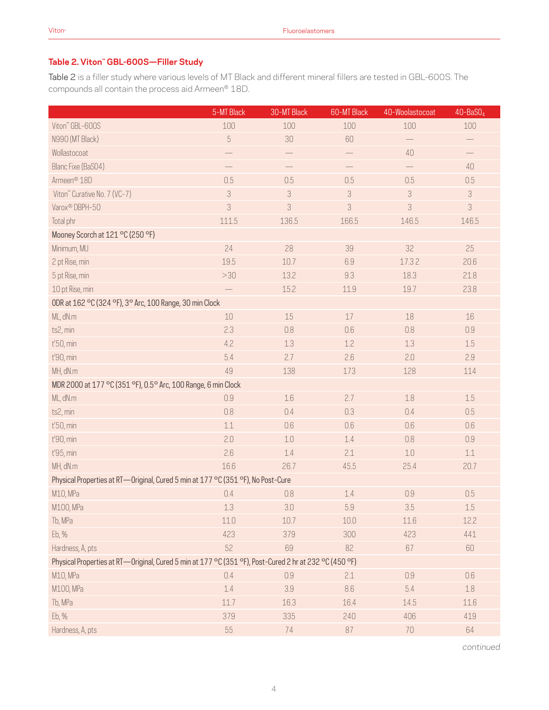# **Table 2. Viton™ GBL-600S—Filler Study**

Table 2 is a filler study where various levels of MT Black and different mineral fillers are tested in GBL-600S. The compounds all contain the process aid Armeen® 18D.

|                                                                                                        | 5-MT Black                 | 30-MT Black               | 60-MT Black | 40-Woolastocoat | $40 - BaSO4$               |
|--------------------------------------------------------------------------------------------------------|----------------------------|---------------------------|-------------|-----------------|----------------------------|
| Viton" GBL-600S                                                                                        | 100                        | 100                       | 100         | 100             | 100                        |
| N990 (MT Black)                                                                                        | $\sqrt{5}$                 | 30                        | 60          |                 | $\qquad \qquad -$          |
| Wollastocoat                                                                                           |                            |                           |             | $40\,$          |                            |
| Blanc Fixe (BaS04)                                                                                     |                            |                           |             |                 | 40                         |
| Armeen <sup>®</sup> 18D                                                                                | 0.5                        | 0.5                       | 0.5         | 0.5             | 0.5                        |
| Viton" Curative No. 7 (VC-7)                                                                           | $\ensuremath{\mathcal{S}}$ | $\mathcal{S}$             | 3           | 3               | $\ensuremath{\mathcal{S}}$ |
| Varox® DBPH-50                                                                                         | 3                          | $\ensuremath{\mathsf{3}}$ | 3           | 3               | $\ensuremath{\mathsf{3}}$  |
| Total phr                                                                                              | 111.5                      | 136.5                     | 166.5       | 146.5           | 146.5                      |
| Mooney Scorch at 121 °C (250 °F)                                                                       |                            |                           |             |                 |                            |
| Minimum, MU                                                                                            | 24                         | 28                        | 39          | 32              | 25                         |
| 2 pt Rise, min                                                                                         | 19.5                       | 10.7                      | 6.9         | 17.32           | 20.6                       |
| 5 pt Rise, min                                                                                         | >30                        | 13.2                      | 9.3         | 18.3            | 21.8                       |
| 10 pt Rise, min                                                                                        | $\qquad \qquad -$          | 15.2                      | 11.9        | 19.7            | 23.8                       |
| ODR at 162 °C (324 °F), 3° Arc, 100 Range, 30 min Clock                                                |                            |                           |             |                 |                            |
| ML, dN.m                                                                                               | 10                         | 15                        | 17          | 18              | 16                         |
| ts2, min                                                                                               | 2.3                        | 0.8                       | 0.6         | 0.8             | 0.9                        |
| t'50, min                                                                                              | 4.2                        | 1.3                       | 1.2         | 1.3             | 1.5                        |
| t'90, min                                                                                              | 5.4                        | 2.7                       | 2.6         | 2.0             | 2.9                        |
| MH, dN.m                                                                                               | 49                         | 138                       | 173         | 128             | 114                        |
| MDR 2000 at 177 °C (351 °F), 0.5° Arc, 100 Range, 6 min Clock                                          |                            |                           |             |                 |                            |
| ML, dN.m                                                                                               | 0.9                        | 1.6                       | 2.7         | 1.8             | 1.5                        |
| ts2, min                                                                                               | 0.8                        | 0.4                       | 0.3         | 0.4             | 0.5                        |
| t'50, min                                                                                              | 1.1                        | 0.6                       | 0.6         | 0.6             | 0.6                        |
| t'90, min                                                                                              | 2.0                        | $1.0\,$                   | $1.4\,$     | 0.8             | 0.9                        |
| t'95, min                                                                                              | 2.6                        | 1.4                       | 2.1         | 1.0             | 1.1                        |
| MH, dN.m                                                                                               | 16.6                       | 26.7                      | 45.5        | 25.4            | 20.7                       |
| Physical Properties at RT-Original, Cured 5 min at 177 °C (351 °F), No Post-Cure                       |                            |                           |             |                 |                            |
| M10, MPa                                                                                               | 0.4                        | 0.8                       | $1.4\,$     | 0.9             | 0.5                        |
| M100, MPa                                                                                              | 1.3                        | $3.0\,$                   | 5.9         | 3.5             | $1.5\,$                    |
| Tb, MPa                                                                                                | 11.0                       | 10.7                      | 10.0        | 11.6            | 12.2                       |
| Eb, %                                                                                                  | 423                        | 379                       | 300         | 423             | 441                        |
| Hardness, A, pts                                                                                       | 52                         | 69                        | 82          | 67              | 60                         |
| Physical Properties at RT—Original, Cured 5 min at 177 °C (351 °F), Post-Cured 2 hr at 232 °C (450 °F) |                            |                           |             |                 |                            |
| M10, MPa                                                                                               | 0.4                        | 0.9                       | 2.1         | 0.9             | 0.6                        |
| M100, MPa                                                                                              | 1.4                        | 3.9                       | 8.6         | 5.4             | $1.8\,$                    |
| Tb, MPa                                                                                                | 11.7                       | 16.3                      | 16.4        | 14.5            | 11.6                       |
| Eb, %                                                                                                  | 379                        | 335                       | 240         | 406             | 419                        |
| Hardness, A, pts                                                                                       | 55                         | 74                        | 87          | $70\,$          | 64                         |

*continued*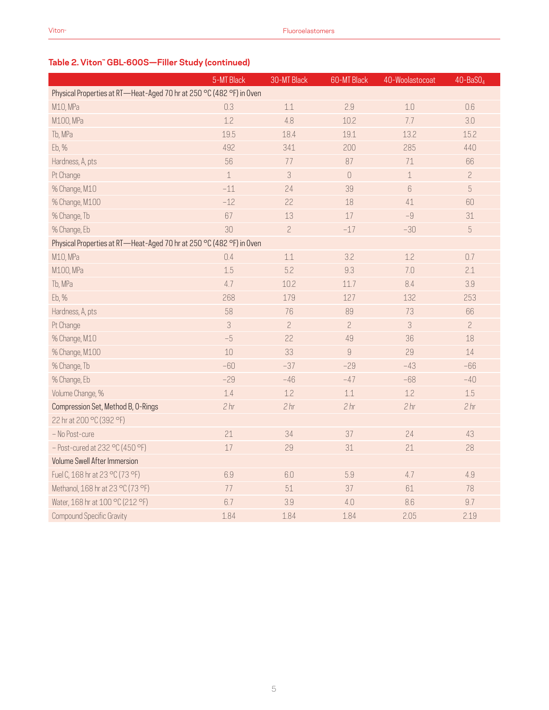| Table 2. Viton" GBL-600S-Filler Study (continued) |  |  |
|---------------------------------------------------|--|--|
|                                                   |  |  |

|                                                                      | 5-MT Black      | 30-MT Black     | 60-MT Black     | 40-Woolastocoat | $40 - BaSO4$    |
|----------------------------------------------------------------------|-----------------|-----------------|-----------------|-----------------|-----------------|
| Physical Properties at RT-Heat-Aged 70 hr at 250 °C (482 °F) in Oven |                 |                 |                 |                 |                 |
| M10, MPa                                                             | 0.3             | 1.1             | 2.9             | $1.0\,$         | 0.6             |
| M100, MPa                                                            | 1.2             | 4.8             | 10.2            | 7.7             | 3.0             |
| Tb, MPa                                                              | 19.5            | 18.4            | 19.1            | 13.2            | 15.2            |
| Eb, %                                                                | 492             | 341             | 200             | 285             | 440             |
| Hardness, A, pts                                                     | 56              | 77              | 87              | 71              | 66              |
| Pt Change                                                            | $\mathbf 1$     | 3               | $\mathbf 0$     | $\perp$         | $\overline{c}$  |
| % Change, M10                                                        | $-11$           | 24              | 39              | $6\,$           | $\sqrt{5}$      |
| % Change, M100                                                       | $-12$           | 22              | 18              | 41              | 60              |
| % Change, Tb                                                         | 67              | 13              | 17              | $-9$            | 31              |
| % Change, Eb                                                         | 30              | $\overline{c}$  | $-17$           | $-30$           | $\overline{5}$  |
| Physical Properties at RT-Heat-Aged 70 hr at 250 °C (482 °F) in Oven |                 |                 |                 |                 |                 |
| M10, MPa                                                             | 0.4             | 1.1             | 3.2             | 1.2             | 0.7             |
| M100, MPa                                                            | 1.5             | 5.2             | 9.3             | 7.0             | 2.1             |
| Tb, MPa                                                              | 4.7             | 10.2            | 11.7            | 8.4             | 3.9             |
| Eb, %                                                                | 268             | 179             | 127             | 132             | 253             |
| Hardness, A, pts                                                     | 58              | 76              | 89              | 73              | 66              |
| Pt Change                                                            | $\mathcal{S}$   | $\overline{c}$  | $\overline{c}$  | 3               | $\overline{c}$  |
| % Change, M10                                                        | $-5$            | 22              | 49              | 36              | 18              |
| % Change, M100                                                       | 10              | 33              | 9               | 29              | 14              |
| % Change, Tb                                                         | $-60$           | $-37$           | $-29$           | $-43$           | $-66$           |
| % Change, Eb                                                         | $-29$           | $-46$           | $-47$           | $-68$           | $-40$           |
| Volume Change, %                                                     | 1.4             | 1.2             | 1.1             | 1.2             | 1.5             |
| Compression Set, Method B, O-Rings                                   | 2 <sub>hr</sub> | 2 <sub>hr</sub> | 2 <sub>hr</sub> | 2 <sub>hr</sub> | 2 <sub>hr</sub> |
| 22 hr at 200 °C (392 °F)                                             |                 |                 |                 |                 |                 |
| - No Post-cure                                                       | 21              | 34              | 37              | 24              | 43              |
| $-$ Post-cured at 232 °C (450 °F)                                    | 17              | 29              | 31              | 21              | 28              |
| Volume Swell After Immersion                                         |                 |                 |                 |                 |                 |
| Fuel C, 168 hr at 23 °C (73 °F)                                      | 6.9             | 6.0             | 5.9             | 4.7             | 4.9             |
| Methanol, 168 hr at 23 °C (73 °F)                                    | 77              | 51              | 37              | 61              | 78              |
| Water, 168 hr at 100 °C (212 °F)                                     | 6.7             | 3.9             | 4.0             | 8.6             | 9.7             |
| Compound Specific Gravity                                            | 1.84            | 1.84            | 1.84            | 2.05            | 2.19            |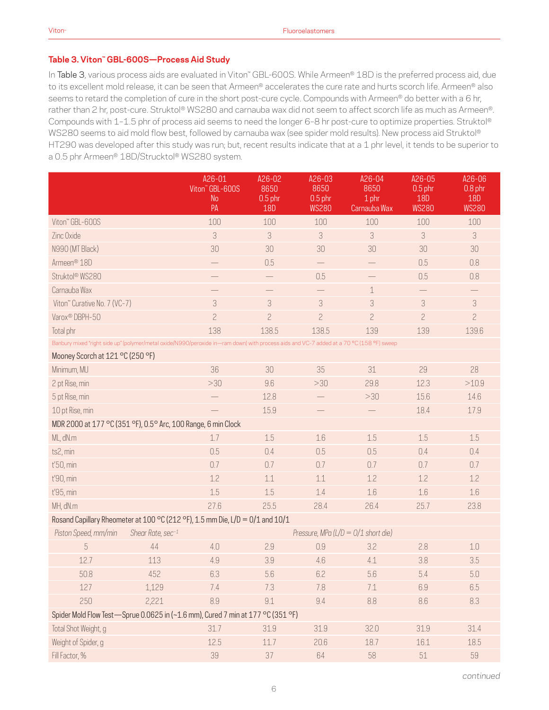#### **Table 3. Viton™ GBL-600S—Process Aid Study**

In Table 3, various process aids are evaluated in Viton™ GBL-600S. While Armeen® 18D is the preferred process aid, due to its excellent mold release, it can be seen that Armeen® accelerates the cure rate and hurts scorch life. Armeen® also seems to retard the completion of cure in the short post-cure cycle. Compounds with Armeen® do better with a 6 hr, rather than 2 hr, post-cure. Struktol® WS280 and carnauba wax did not seem to affect scorch life as much as Armeen®. Compounds with 1–1.5 phr of process aid seems to need the longer 6–8 hr post-cure to optimize properties. Struktol® WS280 seems to aid mold flow best, followed by carnauba wax (see spider mold results). New process aid Struktol® HT290 was developed after this study was run; but, recent results indicate that at a 1 phr level, it tends to be superior to a 0.5 phr Armeen® 18D/Strucktol® WS280 system.

|                                                               |                   | A26-01<br>Viton" GBL-600S                                                                                                                | A26-02<br>8650          | A26-03<br>8650                      | $A26 - 04$<br>8650    | A26-05<br>$0.5$ phr        | A26-06<br>$0.8$ phr        |
|---------------------------------------------------------------|-------------------|------------------------------------------------------------------------------------------------------------------------------------------|-------------------------|-------------------------------------|-----------------------|----------------------------|----------------------------|
|                                                               |                   | <b>No</b><br>PA                                                                                                                          | $0.5$ phr<br><b>18D</b> | $0.5$ phr<br><b>WS280</b>           | 1 phr<br>Carnauba Wax | <b>18D</b><br><b>WS280</b> | <b>18D</b><br><b>WS280</b> |
| Viton" GBL-600S                                               |                   | 100                                                                                                                                      | 100                     | 100                                 | 100                   | 100                        | 100                        |
| Zinc Oxide                                                    |                   | 3                                                                                                                                        | 3                       | 3                                   | 3                     | 3                          | 3                          |
| N990 (MT Black)                                               |                   | 30                                                                                                                                       | 30                      | 30                                  | 30                    | 30                         | 30                         |
| Armeen <sup>®</sup> 18D                                       |                   |                                                                                                                                          | 0.5                     |                                     |                       | 0.5                        | 0.8                        |
| Struktol® WS280                                               |                   |                                                                                                                                          |                         | 0.5                                 |                       | 0.5                        | 0.8                        |
| Carnauba Wax                                                  |                   | $\overline{\phantom{0}}$                                                                                                                 | $\qquad \qquad -$       |                                     | $\mathbf 1$           | $\qquad \qquad -$          |                            |
| Viton" Curative No. 7 (VC-7)                                  |                   | 3                                                                                                                                        | 3                       | 3                                   | 3                     | 3                          | $\ensuremath{\mathcal{S}}$ |
| Varox <sup>®</sup> DBPH-50                                    |                   | $\overline{c}$                                                                                                                           | $\overline{c}$          | $\overline{c}$                      | $\overline{c}$        | $\overline{c}$             | $\overline{c}$             |
| Total phr                                                     |                   | 138                                                                                                                                      | 138.5                   | 138.5                               | 139                   | 139                        | 139.6                      |
|                                                               |                   | Banbury mixed "right side up" (polymer/metal oxide/N990/peroxide in-ram down) with process aids and VC-7 added at a 70 °C (158 °F) sweep |                         |                                     |                       |                            |                            |
| Mooney Scorch at 121 °C (250 °F)                              |                   |                                                                                                                                          |                         |                                     |                       |                            |                            |
| Minimum, MU                                                   |                   | 36                                                                                                                                       | 30                      | 35                                  | 31                    | 29                         | 28                         |
| 2 pt Rise, min                                                |                   | >30                                                                                                                                      | 9.6                     | >30                                 | 29.8                  | 12.3                       | >10.9                      |
| 5 pt Rise, min                                                |                   |                                                                                                                                          | 12.8                    |                                     | >30                   | 15.6                       | 14.6                       |
| 10 pt Rise, min                                               |                   |                                                                                                                                          | 15.9                    |                                     |                       | 18.4                       | 17.9                       |
| MDR 2000 at 177 °C (351 °F), 0.5° Arc, 100 Range, 6 min Clock |                   |                                                                                                                                          |                         |                                     |                       |                            |                            |
| ML, dN.m                                                      |                   | 1.7                                                                                                                                      | 1.5                     | 1.6                                 | 1.5                   | 1.5                        | 1.5                        |
| ts2, min                                                      |                   | 0.5                                                                                                                                      | 0.4                     | 0.5                                 | 0.5                   | 0.4                        | 0.4                        |
| t'50, min                                                     |                   | 0.7                                                                                                                                      | 0.7                     | 0.7                                 | 0.7                   | 0.7                        | 0.7                        |
| t'90, min                                                     |                   | 1.2                                                                                                                                      | 1.1                     | 1.1                                 | 1.2                   | 1.2                        | 1.2                        |
| t'95, min                                                     |                   | 1.5                                                                                                                                      | 1.5                     | 1.4                                 | 1.6                   | 1.6                        | 1.6                        |
| MH, dN.m                                                      |                   | 27.6                                                                                                                                     | 25.5                    | 28.4                                | 26.4                  | 25.7                       | 23.8                       |
|                                                               |                   | Rosand Capillary Rheometer at 100 °C (212 °F), 1.5 mm Die, L/D = 0/1 and 10/1                                                            |                         |                                     |                       |                            |                            |
| Piston Speed, mm/min                                          | Shear Rate, sec-1 |                                                                                                                                          |                         | Pressure, MPa (L/D = 0/1 short die) |                       |                            |                            |
| 5                                                             | 44                | 4.0                                                                                                                                      | 2.9                     | 0.9                                 | 3.2                   | 2.8                        | 1.0                        |
| 12.7                                                          | 113               | 4.9                                                                                                                                      | 3.9                     | 4.6                                 | 4.1                   | 3.8                        | 3.5                        |
| 50.8                                                          | 452               | 6.3                                                                                                                                      | 5.6                     | 6.2                                 | 5.6                   | 5.4                        | $5.0\,$                    |
| 127                                                           | 1,129             | 7.4                                                                                                                                      | 7.3                     | 7.8                                 | 7.1                   | 6.9                        | 6.5                        |
| 250                                                           | 2,221             | 8.9                                                                                                                                      | 9.1                     | 9.4                                 | 8.8                   | 8.6                        | 8.3                        |
|                                                               |                   | Spider Mold Flow Test-Sprue 0.0625 in (~1.6 mm), Cured 7 min at 177 °C (351 °F)                                                          |                         |                                     |                       |                            |                            |
| Total Shot Weight, g                                          |                   | 31.7                                                                                                                                     | 31.9                    | 31.9                                | 32.0                  | 31.9                       | 31.4                       |
| Weight of Spider, g                                           |                   | 12.5                                                                                                                                     | 11.7                    | 20.6                                | 18.7                  | 16.1                       | 18.5                       |
| Fill Factor, %                                                |                   | 39                                                                                                                                       | 37                      | 64                                  | 58                    | $51\,$                     | 59                         |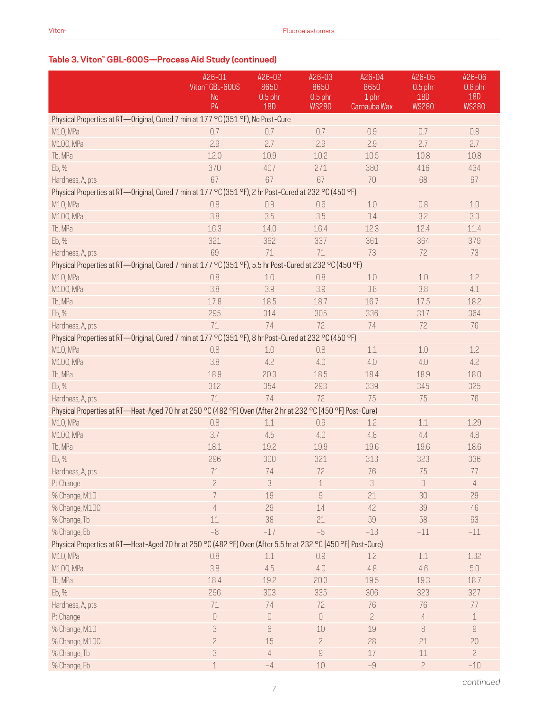# **Table 3. Viton™ GBL-600S—Process Aid Study (continued)**

|                                                                                                               | A26-01                | A26-02                               | A26-03              | A26-04         | A26-05                  | A26-06                  |
|---------------------------------------------------------------------------------------------------------------|-----------------------|--------------------------------------|---------------------|----------------|-------------------------|-------------------------|
|                                                                                                               | Viton" GBL-600S<br>No | 8650<br>$0.5$ phr                    | 8650<br>$0.5$ phr   | 8650<br>1 phr  | $0.5$ phr<br><b>18D</b> | $0.8$ phr<br><b>18D</b> |
|                                                                                                               | PA                    | <b>18D</b>                           | <b>WS280</b>        | Carnauba Wax   | <b>WS280</b>            | <b>WS280</b>            |
| Physical Properties at RT-Original, Cured 7 min at 177 °C (351 °F), No Post-Cure                              |                       |                                      |                     |                |                         |                         |
| M10, MPa                                                                                                      | 0.7                   | 0.7                                  | 0.7                 | 0.9            | 0.7                     | 0.8                     |
| M100, MPa                                                                                                     | 2.9                   | 2.7                                  | 2.9                 | 2.9            | 2.7                     | 2.7                     |
| Tb, MPa                                                                                                       | 12.0                  | 10.9                                 | 10.2                | 10.5           | 10.8                    | 10.8                    |
| Eb, %                                                                                                         | 370                   | 407                                  | 271                 | 380            | 416                     | 434                     |
| Hardness, A, pts                                                                                              | 67                    | 67                                   | 67                  | 70             | 68                      | 67                      |
| Physical Properties at RT-Original, Cured 7 min at 177 °C (351 °F), 2 hr Post-Cured at 232 °C (450 °F)        |                       |                                      |                     |                |                         |                         |
| M10, MPa                                                                                                      | 0.8                   | 0.9                                  | 0.6                 | 1.0            | 0.8                     | 1.0                     |
| M100, MPa                                                                                                     | 3.8                   | 3.5                                  | 3.5                 | 3.4            | 3.2                     | 3.3                     |
| Tb, MPa                                                                                                       | 16.3                  | 14.0                                 | 16.4                | 12.3           | 12.4                    | 11.4                    |
| Eb, %                                                                                                         | 321                   | 362                                  | 337                 | 361            | 364                     | 379                     |
| Hardness, A, pts                                                                                              | 69                    | 71                                   | 71                  | 73             | 72                      | 73                      |
| Physical Properties at RT-Original, Cured 7 min at 177 °C (351 °F), 5.5 hr Post-Cured at 232 °C (450 °F)      |                       |                                      |                     |                |                         |                         |
| M10, MPa                                                                                                      | 0.8                   | 1.0                                  | 0.8                 | 1.0            | $1.0\,$                 | 1.2                     |
| M100, MPa                                                                                                     | 3.8                   | 3.9                                  | 3.9                 | 3.8            | 3.8                     | 4.1                     |
| Tb, MPa                                                                                                       | 17.8                  | 18.5                                 | 18.7                | 16.7           | 17.5                    | 18.2                    |
| Eb, %                                                                                                         | 295                   | 314                                  | 305                 | 336            | 317                     | 364                     |
| Hardness, A, pts                                                                                              | 71                    | 74                                   | 72                  | 74             | 72                      | 76                      |
| Physical Properties at RT-Original, Cured 7 min at 177 °C (351 °F), 8 hr Post-Cured at 232 °C (450 °F)        |                       |                                      |                     |                |                         |                         |
| M10, MPa                                                                                                      | 0.8                   | 1.0                                  | 0.8                 | $1.1\,$        | $1.0\,$                 | 1.2                     |
| M100, MPa                                                                                                     | 3.8                   | 4.2                                  | 4.0                 | 4.0            | 4.0                     | 4.2                     |
| Tb, MPa                                                                                                       | 18.9                  | 20.3                                 | 18.5                | 18.4           | 18.9                    | 18.0                    |
| Eb, %                                                                                                         | 312                   | 354                                  | 293                 | 339            | 345                     | 325                     |
| Hardness, A, pts                                                                                              | 71                    | 74                                   | 72                  | 75             | 75                      | 76                      |
| Physical Properties at RT-Heat-Aged 70 hr at 250 °C (482 °F) Oven (After 2 hr at 232 °C [450 °F] Post-Cure)   |                       |                                      |                     |                |                         |                         |
| M10, MPa                                                                                                      | 0.8                   | 1.1                                  | 0.9                 | 1.2            | 1.1                     | 1.29                    |
| M100, MPa                                                                                                     | 3.7                   | 4.5                                  | 4.0                 | 4.8            | 4.4                     | 4.8                     |
| Tb, MPa                                                                                                       | 18.1                  | 19.2                                 | 19.9                | 19.6           | 19.6                    | 18.6                    |
| Eb, %                                                                                                         | 296                   | 300                                  | 321                 | 313            | 323                     | 336                     |
| Hardness, A, pts                                                                                              | 71                    | 74                                   | 72                  | 76             | 75                      | 77                      |
| Pt Change                                                                                                     | $\overline{c}$        | 3                                    | $\mathbf 1$         | 3              | 3                       | $\overline{4}$          |
| % Change, M10                                                                                                 | 7                     | 19                                   | $\overline{9}$      | 21             | 30                      | 29                      |
| % Change, M100                                                                                                | 4                     | 29                                   | 14                  | 42             | 39                      | 46                      |
| % Change, Tb                                                                                                  | 11                    | 38                                   | 21                  | 59             | 58                      | 63                      |
| % Change, Eb                                                                                                  | $-8$                  | $-17$                                | $-5$                | $-13$          | $-11$                   | $-11$                   |
| Physical Properties at RT-Heat-Aged 70 hr at 250 °C (482 °F) Oven (After 5.5 hr at 232 °C [450 °F] Post-Cure) |                       |                                      |                     |                |                         |                         |
| M10, MPa                                                                                                      | 0.8                   | 1.1                                  | 0.9                 | 1.2            | 1.1                     | 1.32                    |
| M100, MPa                                                                                                     | 3.8                   | 4.5                                  | 4.0                 | 4.8            | 4.6                     | $5.0\,$                 |
| Tb, MPa                                                                                                       | 18.4                  | 19.2                                 | 20.3                | 19.5           | 19.3                    | 18.7                    |
| Eb, %                                                                                                         | 296                   | 303                                  | 335                 | 306            | 323                     | 327                     |
| Hardness, A, pts                                                                                              | 71                    | 74                                   | 72                  | 76             | 76                      | 77                      |
| Pt Change                                                                                                     | $\mathbf 0$           | $\begin{matrix} 0 \\ 0 \end{matrix}$ | $\mathsf{O}\xspace$ | $\overline{c}$ | $\overline{4}$          | $\mathbf 1$             |
| % Change, M10                                                                                                 | 3                     | 6                                    | 10                  | 19             | $\, 8$                  | $\mathcal G$            |
| % Change, M100                                                                                                | $\overline{c}$        | 15                                   | $\overline{c}$      | 28             | 21                      | 20                      |
| % Change, Tb                                                                                                  | 3                     | $\overline{4}$                       | $\overline{9}$      | 17             | $11\,$                  | $\overline{2}$          |
| % Change, Eb                                                                                                  |                       | $-4$                                 | 10                  | $-9$           | $\overline{c}$          | $-10$                   |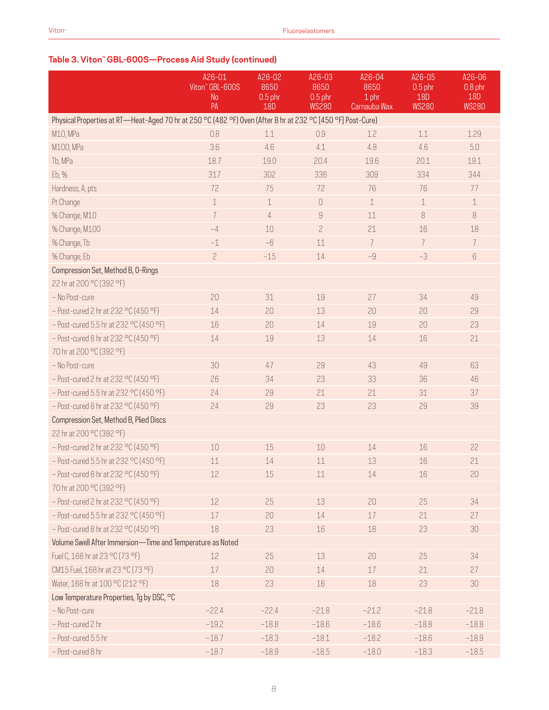## **Table 3. Viton™ GBL-600S—Process Aid Study (continued)**

|                                                                                                             | A26-01<br>Viton" GBL-600S | A26-02<br>8650 | A26-03<br>8650 | A26-04<br>8650 | A26-05<br>$0.5$ phr | A26-06<br>$0.8$ phr |
|-------------------------------------------------------------------------------------------------------------|---------------------------|----------------|----------------|----------------|---------------------|---------------------|
|                                                                                                             | No                        | $0.5$ phr      | $0.5$ phr      | 1 phr          | 18D                 | 18D                 |
|                                                                                                             | PA                        | <b>18D</b>     | <b>WS280</b>   | Carnauba Wax   | <b>WS280</b>        | <b>WS280</b>        |
| Physical Properties at RT—Heat-Aged 70 hr at 250 °C (482 °F) Oven (After 8 hr at 232 °C [450 °F] Post-Cure) |                           |                |                |                |                     |                     |
| M10, MPa                                                                                                    | 0.8                       | 1.1            | 0.9            | 1.2            | $1.1\,$             | 1.29                |
| M100, MPa                                                                                                   | 3.6                       | 4.6            | 4.1            | 4.8            | 4.6                 | $5.0\,$             |
| Tb, MPa                                                                                                     | 18.7                      | 19.0           | 20.4           | 19.6           | 20.1                | 19.1                |
| Eb, %                                                                                                       | 317                       | 302            | 336            | 309            | 334                 | 344                 |
| Hardness, A, pts                                                                                            | 72                        | 75             | 72             | 76             | 76                  | 77                  |
| Pt Change                                                                                                   | $\mathbf 1$               | $\mathbf 1$    | $\cup$         | $\mathbf 1$    | $\mathbf 1$         | $\mathbf 1$         |
| % Change, M10                                                                                               | 7                         | $\overline{4}$ | $\overline{9}$ | 11             | 8                   | 8                   |
| % Change, M100                                                                                              | $-4$                      | 10             | $\overline{c}$ | 21             | 16                  | 18                  |
| % Change, Tb                                                                                                | $-1$                      | $-6$           | 11             | 7              | $\overline{7}$      | 7                   |
| % Change, Eb                                                                                                | $\overline{c}$            | $-15$          | 14             | $-9$           | $-3$                | 6                   |
| Compression Set, Method B, O-Rings                                                                          |                           |                |                |                |                     |                     |
| 22 hr at 200 °C (392 °F)                                                                                    |                           |                |                |                |                     |                     |
| - No Post-cure                                                                                              | 20                        | 31             | 19             | 27             | 34                  | 49                  |
| $-$ Post-cured 2 hr at 232 °C (450 °F)                                                                      | 14                        | 20             | 13             | 20             | 20                  | 29                  |
| - Post-cured 5.5 hr at 232 °C (450 °F)                                                                      | 16                        | 20             | 14             | 19             | 20                  | 23                  |
| $-$ Post-cured 8 hr at 232 °C (450 °F)                                                                      | 14                        | 19             | 13             | 14             | 16                  | 21                  |
| 70 hr at 200 °C (392 °F)                                                                                    |                           |                |                |                |                     |                     |
| - No Post-cure                                                                                              | 30                        | 47             | 29             | 43             | 49                  | 63                  |
| $-$ Post-cured 2 hr at 232 °C (450 °F)                                                                      | 26                        | 34             | 23             | 33             | 36                  | 46                  |
| - Post-cured 5.5 hr at 232 °C (450 °F)                                                                      | 24                        | 29             | 21             | 21             | 31                  | 37                  |
| $-$ Post-cured 8 hr at 232 °C (450 °F)                                                                      | 24                        | 29             | 23             | 23             | 29                  | 39                  |
| Compression Set, Method B, Plied Discs                                                                      |                           |                |                |                |                     |                     |
| 22 hr at 200 °C (392 °F)                                                                                    |                           |                |                |                |                     |                     |
| $-$ Post-cured 2 hr at 232 °C (450 °F)                                                                      | 10                        | 15             | 10             | 14             | 16                  | 22                  |
| - Post-cured 5.5 hr at 232 °C (450 °F)                                                                      | 11                        | 14             | 11             | 13             | 16                  | 21                  |
| $-$ Post-cured 8 hr at 232 °C (450 °F)                                                                      | 12                        | 15             | 11             | $14\,$         | 16                  | 20                  |
| 70 hr at 200 °C (392 °F)                                                                                    |                           |                |                |                |                     |                     |
| $-$ Post-cured 2 hr at 232 °C (450 °F)                                                                      | 12                        | 25             | 13             | 20             | 25                  | 34                  |
| - Post-cured 5.5 hr at 232 °C (450 °F)                                                                      | 17                        | 20             | 14             | $17\,$         | 21                  | 27                  |
| $-$ Post-cured 8 hr at 232 °C (450 °F)                                                                      | 18                        | 23             | 16             | 18             | 23                  | 30                  |
| Volume Swell After Immersion-Time and Temperature as Noted                                                  |                           |                |                |                |                     |                     |
| Fuel C, 168 hr at 23 °C (73 °F)                                                                             | 12                        | 25             | 13             | 20             | 25                  | 34                  |
| CM15 Fuel, 168 hr at 23 °C (73 °F)                                                                          | 17                        | 20             | 14             | $17\,$         | 21                  | 27                  |
| Water, 168 hr at 100 °C (212 °F)                                                                            | 18                        | 23             | 16             | $18\,$         | 23                  | 30                  |
| Low Temperature Properties, Tg by DSC, °C                                                                   |                           |                |                |                |                     |                     |
| - No Post-cure                                                                                              | $-22.4$                   | $-22.4$        | $-21.8$        | $-21.2$        | $-21.8$             | $-21.8$             |
| - Post-cured 2 hr                                                                                           | $-19.2$                   | $-18.8$        | $-18.6$        | $-18.6$        | $-18.8$             | $-18.8$             |
| - Post-cured 5.5 hr                                                                                         | $-18.7$                   | $-18.3$        | $-18.1$        | $-18.2$        | $-18.6$             | $-18.9$             |
| - Post-cured 8 hr                                                                                           | $-18.7$                   | $-18.9$        | $-18.5$        | $-18.0$        | $-18.3$             | $-18.5$             |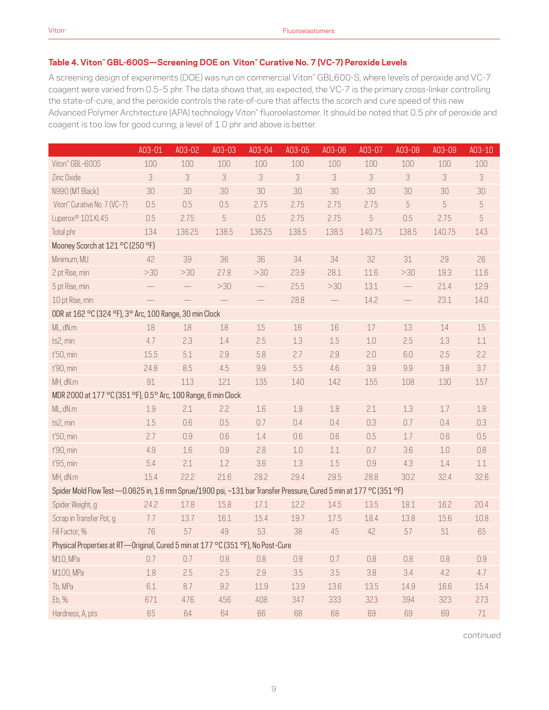#### **Table 4. Viton™ GBL-600S—Screening DOE on Viton™ Curative No. 7 (VC-7) Peroxide Levels**

A screening design of experiments (DOE) was run on commercial Viton™ GBL600-S, where levels of peroxide and VC-7 coagent were varied from 0.5–5 phr. The data shows that, as expected, the VC-7 is the primary cross-linker controlling the state-of-cure, and the peroxide controls the rate-of-cure that affects the scorch and cure speed of this new Advanced Polymer Architecture (APA) technology Viton™ fluoroelastomer. It should be noted that 0.5 phr of peroxide and coagent is too low for good curing; a level of 1.0 phr and above is better.

|                                                                                                                    | A03-01  | A03-02  | A03-03                     | A03-04            | A03-05                     | A03-06                     | A03-07  | A03-08            | A03-09  | A03-10                     |
|--------------------------------------------------------------------------------------------------------------------|---------|---------|----------------------------|-------------------|----------------------------|----------------------------|---------|-------------------|---------|----------------------------|
| Viton" GBL-600S                                                                                                    | 100     | 100     | 100                        | 100               | 100                        | 100                        | 100     | 100               | 100     | 100                        |
| Zinc Oxide                                                                                                         | 3       | 3       | $\ensuremath{\mathcal{S}}$ | 3                 | $\ensuremath{\mathcal{S}}$ | $\ensuremath{\mathcal{S}}$ | 3       | 3                 | 3       | $\ensuremath{\mathcal{S}}$ |
| N990 (MT Black)                                                                                                    | 30      | 30      | 30                         | 30                | 30                         | 30                         | 30      | 30                | 30      | 30                         |
| Viton" Curative No. 7 (VC-7)                                                                                       | 0.5     | 0.5     | 0.5                        | 2.75              | 2.75                       | 2.75                       | 2.75    | 5                 | 5       | 5                          |
| Luperox <sup>®</sup> 101XL45                                                                                       | 0.5     | 2.75    | 5                          | 0.5               | 2.75                       | 2.75                       | 5       | 0.5               | 2.75    | 5                          |
| Total phr                                                                                                          | 134     | 136.25  | 138.5                      | 136.25            | 138.5                      | 138.5                      | 140.75  | 138.5             | 140.75  | 143                        |
| Mooney Scorch at 121 °C (250 °F)                                                                                   |         |         |                            |                   |                            |                            |         |                   |         |                            |
| Minimum, MU                                                                                                        | 42      | 39      | 36                         | 36                | 34                         | 34                         | 32      | 31                | 29      | 26                         |
| 2 pt Rise, min                                                                                                     | >30     | >30     | 27.8                       | >30               | 23.9                       | 28.1                       | 11.6    | >30               | 19.3    | 11.6                       |
| 5 pt Rise, min                                                                                                     |         |         | >30                        | $\qquad \qquad -$ | 25.5                       | >30                        | 13.1    | $\qquad \qquad -$ | 21.4    | 12.9                       |
| 10 pt Rise, min                                                                                                    |         |         |                            |                   | 28.8                       | $\overline{\phantom{0}}$   | 14.2    |                   | 23.1    | 14.0                       |
| ODR at 162 °C (324 °F), 3° Arc, 100 Range, 30 min Clock                                                            |         |         |                            |                   |                            |                            |         |                   |         |                            |
| ML, dN.m                                                                                                           | 18      | 18      | 18                         | 15                | $16\,$                     | 16                         | $17$    | 13                | 14      | 15                         |
| ts2, min                                                                                                           | 4.7     | 2.3     | 1.4                        | 2.5               | 1.3                        | 1.5                        | $1.0\,$ | 2.5               | 1.3     | $1.1\,$                    |
| t'50, min                                                                                                          | 15.5    | 5.1     | 2.9                        | 5.8               | 2.7                        | 2.9                        | 2.0     | 6.0               | 2.5     | 2.2                        |
| t'90, min                                                                                                          | 24.8    | 8.5     | 4.5                        | 9.9               | 5.5                        | 4.6                        | 3.9     | 9.9               | 3.8     | 3.7                        |
| MH, dN.m                                                                                                           | 91      | 113     | 121                        | 135               | 140                        | 142                        | 155     | 108               | 130     | 157                        |
| MDR 2000 at 177 °C (351 °F), 0.5° Arc, 100 Range, 6 min Clock                                                      |         |         |                            |                   |                            |                            |         |                   |         |                            |
| ML, dN.m                                                                                                           | 1.9     | 2.1     | 2.2                        | 1.6               | 1.9                        | 1.8                        | 2.1     | 1.3               | 1.7     | 1.8                        |
| ts2, min                                                                                                           | 1.5     | 0.6     | 0.5                        | 0.7               | 0.4                        | 0.4                        | 0.3     | 0.7               | 0.4     | 0.3                        |
| t'50, min                                                                                                          | 2.7     | 0.9     | 0.6                        | 1.4               | 0.6                        | 0.6                        | 0.5     | 1.7               | 0.6     | 0.5                        |
| t'90, min                                                                                                          | 4.9     | $1.6\,$ | 0.9                        | 2.8               | $1.0\,$                    | $1.1\,$                    | 0.7     | 3.6               | $1.0\,$ | 0.8                        |
| t'95, min                                                                                                          | 5.4     | 2.1     | 1.2                        | 3.6               | 1.3                        | 1.5                        | 0.9     | 4.3               | 1.4     | $1.1\,$                    |
| MH, dN.m                                                                                                           | 15.4    | 22.2    | 21.6                       | 28.2              | 29.4                       | 29.5                       | 28.8    | 30.2              | 32.4    | 32.6                       |
| Spider Mold Flow Test-0.0625 in, 1.6 mm Sprue/1900 psi, ~131 bar Transfer Pressure, Cured 5 min at 177 °C (351 °F) |         |         |                            |                   |                            |                            |         |                   |         |                            |
| Spider Weight, g                                                                                                   | 24.2    | 17.8    | 15.8                       | 17.1              | 12.2                       | 14.5                       | 13.5    | 18.1              | 16.2    | 20.4                       |
| Scrap in Transfer Pot, g                                                                                           | 7.7     | 13.7    | 16.1                       | 15.4              | 19.7                       | 17.5                       | 18.4    | 13.8              | 15.6    | 10.8                       |
| Fill Factor, %                                                                                                     | 76      | 57      | 49                         | 53                | 38                         | 45                         | 42      | 57                | 51      | 65                         |
| Physical Properties at RT-Original, Cured 5 min at 177 °C (351 °F), No Post-Cure                                   |         |         |                            |                   |                            |                            |         |                   |         |                            |
| M10, MPa                                                                                                           | 0.7     | 0.7     | $0.8\,$                    | 0.8               | $0.8\,$                    | $0.7\,$                    | $0.8\,$ | $0.8\,$           | 0.8     | 0.9                        |
| M100, MPa                                                                                                          | $1.8\,$ | 2.5     | 2.5                        | 2.9               | 3.5                        | 3.5                        | 3.8     | 3.4               | 4.2     | 4.7                        |
| Tb, MPa                                                                                                            | $6.1\,$ | 8.7     | 9.2                        | 11.9              | 13.9                       | 13.6                       | 13.5    | 14.9              | 16.6    | 15.4                       |
| Eb, %                                                                                                              | 671     | 476     | 456                        | 408               | 347                        | 333                        | 323     | 394               | 323     | 273                        |
| Hardness, A, pts                                                                                                   | 65      | 64      | 64                         | 66                | 68                         | 68                         | 69      | 69                | 69      | 71                         |

*continued*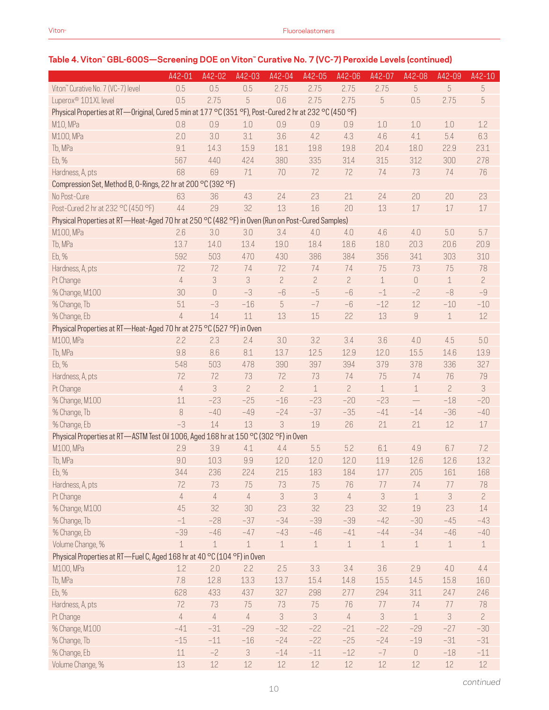# **Table 4. Viton™ GBL-600S—Screening DOE on Viton™ Curative No. 7 (VC-7) Peroxide Levels (continued)**

|                                                                                                        | A42-01         | A42-02      | A42-03         | A42-04         | A42-05         | $A42 - 06$     | A42-07      | A42-08         | A42-09         | A42-10         |
|--------------------------------------------------------------------------------------------------------|----------------|-------------|----------------|----------------|----------------|----------------|-------------|----------------|----------------|----------------|
| Viton" Curative No. 7 (VC-7) level                                                                     | 0.5            | 0.5         | 0.5            | 2.75           | 2.75           | 2.75           | 2.75        | 5              | 5              | 5              |
| Luperox <sup>®</sup> 101XL level                                                                       | 0.5            | 2.75        | 5              | 0.6            | 2.75           | 2.75           | 5           | 0.5            | 2.75           | $\sqrt{5}$     |
| Physical Properties at RT-Original, Cured 5 min at 177 °C (351 °F), Post-Cured 2 hr at 232 °C (450 °F) |                |             |                |                |                |                |             |                |                |                |
| M10, MPa                                                                                               | 0.8            | 0.9         | 1.0            | 0.9            | 0.9            | 0.9            | 1.0         | 1.0            | 1.0            | 1.2            |
| M100, MPa                                                                                              | 2.0            | 3.0         | 3.1            | 3.6            | 4.2            | 4.3            | 4.6         | 4.1            | 5.4            | 6.3            |
| Tb, MPa                                                                                                | 9.1            | 14.3        | 15.9           | 18.1           | 19.8           | 19.8           | 20.4        | 18.0           | 22.9           | 23.1           |
| Eb, %                                                                                                  | 567            | 440         | 424            | 380            | 335            | 314            | 315         | 312            | 300            | 278            |
| Hardness, A, pts                                                                                       | 68             | 69          | 71             | 70             | 72             | 72             | 74          | 73             | 74             | 76             |
| Compression Set, Method B, 0-Rings, 22 hr at 200 °C (392 °F)                                           |                |             |                |                |                |                |             |                |                |                |
| No Post-Cure                                                                                           | 63             | 36          | 43             | 24             | 23             | 21             | 24          | 20             | 20             | 23             |
| Post-Cured 2 hr at 232 °C (450 °F)                                                                     | 44             | 29          | 32             | 13             | 16             | 20             | 13          | 17             | 17             | $17\,$         |
| Physical Properties at RT-Heat-Aged 70 hr at 250 °C (482 °F) in Oven (Run on Post-Cured Samples)       |                |             |                |                |                |                |             |                |                |                |
| M100, MPa                                                                                              | 2.6            | 3.0         | 3.0            | 3.4            | 4.0            | 4.0            | 4.6         | 4.0            | 5.0            | 5.7            |
| Tb, MPa                                                                                                | 13.7           | 14.0        | 13.4           | 19.0           | 18.4           | 18.6           | 18.0        | 20.3           | 20.6           | 20.9           |
| Eb, %                                                                                                  | 592            | 503         | 470            | 430            | 386            | 384            | 356         | 341            | 303            | 310            |
| Hardness, A, pts                                                                                       | 72             | 72          | 74             | 72             | 74             | 74             | 75          | 73             | 75             | 78             |
| Pt Change                                                                                              | $\overline{4}$ | 3           | 3              | $\overline{c}$ | $\overline{c}$ | $\overline{c}$ | $\mathbf 1$ | $\bigcap$      | $\mathbf 1$    | $\overline{c}$ |
| % Change, M100                                                                                         | 30             | $\bigcap$   | $-3$           | $-6$           | $-5$           | $-6$           | $-1$        | $-2$           | $-8$           | $-9$           |
| % Change, Tb                                                                                           | 51             | $-3$        | $-16$          | 5              | $-7$           | $-6$           | $-12$       | 12             | $-10$          | $-10$          |
| % Change, Eb                                                                                           | $\overline{4}$ | 14          | 11             | 13             | 15             | 22             | 13          | $\overline{9}$ | $\mathbf 1$    | 12             |
| Physical Properties at RT-Heat-Aged 70 hr at 275 °C (527 °F) in Oven                                   |                |             |                |                |                |                |             |                |                |                |
| M100, MPa                                                                                              | 2.2            | 2.3         | 2.4            | 3.0            | 3.2            | 3.4            | 3.6         | 4.0            | 4.5            | 5.0            |
| Tb, MPa                                                                                                | 9.8            | 8.6         | 8.1            | 13.7           | 12.5           | 12.9           | 12.0        | 15.5           | 14.6           | 13.9           |
| Eb, %                                                                                                  | 548            | 503         | 478            | 390            | 397            | 394            | 379         | 378            | 336            | 327            |
| Hardness, A, pts                                                                                       | 72             | 72          | 73             | 72             | 73             | 74             | 75          | 74             | 76             | 79             |
| Pt Change                                                                                              | $\overline{4}$ | 3           | $\overline{c}$ | $\overline{c}$ | $\mathbf 1$    | $\overline{c}$ | $\mathbf 1$ | 1              | $\overline{c}$ | 3              |
| % Change, M100                                                                                         | 11             | $-23$       | $-25$          | $-16$          | $-23$          | $-20$          | $-23$       |                | $-18$          | $-20$          |
| % Change, Tb                                                                                           | 8              | $-40$       | $-49$          | $-24$          | $-37$          | $-35$          | $-41$       | $-14$          | $-36$          | $-40$          |
| % Change, Eb                                                                                           | $-3$           | 14          | 13             | 3              | 19             | 26             | 21          | 21             | 12             | 17             |
| Physical Properties at RT-ASTM Test 0il 1006, Aged 168 hr at 150 °C (302 °F) in Oven                   |                |             |                |                |                |                |             |                |                |                |
| M100, MPa                                                                                              | 2.9            | 3.9         | 4.1            | 4.4            | 5.5            | 5.2            | 6.1         | 4.9            | 6.7            | 7.2            |
| Tb, MPa                                                                                                | 9.0            | 10.3        | 9.9            | 12.0           | 12.0           | 12.0           | 11.9        | 12.6           | 12.6           | 13.2           |
| Eb, %                                                                                                  | 344            | 236         | 224            | 215            | 183            | 184            | 177         | 205            | 161            | 168            |
| Hardness, A, pts                                                                                       | 72             | 73          | 75             | 73             | 75             | 76             | 77          | 74             | 77             | 78             |
| Pt Change                                                                                              | $\overline{4}$ | $\sqrt{4}$  | $\overline{4}$ | 3              | 3              | $\sqrt{4}$     | 3           | $\perp$        | 3              | $\overline{c}$ |
| % Change, M100                                                                                         | 45             | 32          | 30             | 23             | 32             | 23             | 32          | 19             | 23             | 14             |
| % Change, Tb                                                                                           | $-1$           | $-28$       | $-37$          | $-34$          | $-39$          | $-39$          | $-42$       | $-30$          | $-45$          | $-43$          |
| % Change, Eb                                                                                           | $-39$          | $-46$       | $-47$          | $-43$          | $-46$          | $-41$          | $-44$       | $-34$          | $-46$          | $-40$          |
| Volume Change, %                                                                                       | $\mathbf 1$    | $\mathbf 1$ | $\mathbf 1$    | $\mathbf 1$    | $1\,$          | $\mathbf 1$    | $\mathbf 1$ | $\mathbf 1$    | $\mathbf 1$    | $\mathbf 1$    |
| Physical Properties at RT-Fuel C, Aged 168 hr at 40 °C (104 °F) in Oven                                |                |             |                |                |                |                |             |                |                |                |
| M100, MPa                                                                                              | 1.2            | 2.0         | 2.2            | 2.5            | 3.3            | 3.4            | $3.6\,$     | 2.9            | 4.0            | 4.4            |
| Tb, MPa                                                                                                | 7.8            | 12.8        | 13.3           | 13.7           | 15.4           | 14.8           | 15.5        | 14.5           | 15.8           | 16.0           |
| Eb, %                                                                                                  | 628            | 433         | 437            | 327            | 298            | 277            | 294         | 311            | 247            | 246            |
| Hardness, A, pts                                                                                       | 72             | 73          | 75             | 73             | 75             | 76             | 77          | 74             | 77             | 78             |
| Pt Change                                                                                              | $\sqrt{4}$     | $\sqrt{4}$  | $\overline{4}$ | 3              | 3              | $\overline{4}$ | $\sqrt{3}$  | $\mathbf 1$    | 3              | $\overline{c}$ |
| % Change, M100                                                                                         | $-41$          | $-31$       | $-29$          | $-32$          | $-22$          | $-21$          | $-22$       | $-29$          | $-27$          | $-30$          |
| % Change, Tb                                                                                           | $-15$          | $-11$       | $-16$          | $-24$          | $-22$          | $-25$          | $-24$       | $-19$          | $-31$          | $-31$          |
| % Change, Eb                                                                                           | $11\,$         | $-2$        | 3              | $-14$          | $-11$          | $-12$          | $-7$        | $\mathbb O$    | $-18$          | $-11$          |
| Volume Change, %                                                                                       | 13             | $12\,$      | 12             | $12\,$         | $12\,$         | $12\,$         | $12\,$      | $12\,$         | 12             | $12\,$         |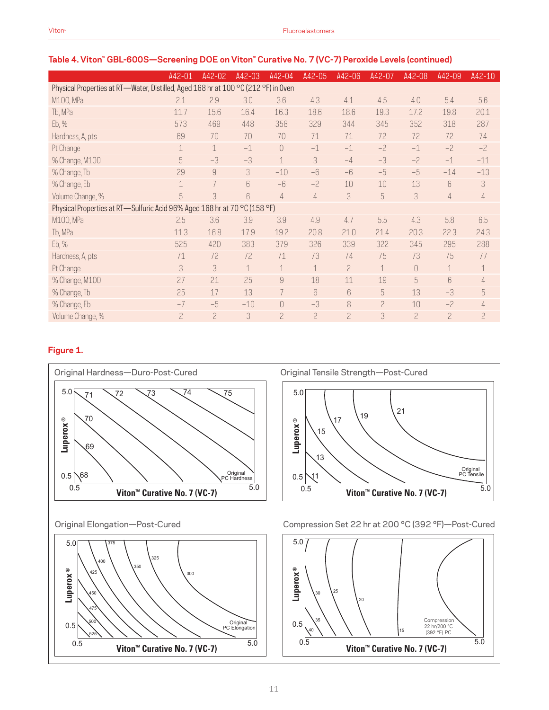|                                                                                    | A42-01      | A42-02         | A42-03      | A42-04         | A42-05         | A42-06           | A42-07         | A42-08                   | A42-09                   | A42-10         |
|------------------------------------------------------------------------------------|-------------|----------------|-------------|----------------|----------------|------------------|----------------|--------------------------|--------------------------|----------------|
| Physical Properties at RT-Water, Distilled, Aged 168 hr at 100 °C (212 °F) in Oven |             |                |             |                |                |                  |                |                          |                          |                |
| M100, MPa                                                                          | 2.1         | 2.9            | 3.0         | 3.6            | 4.3            | 4.1              | 4.5            | 4.0                      | 5.4                      | 5.6            |
| Tb, MPa                                                                            | 11.7        | 15.6           | 16.4        | 16.3           | 18.6           | 18.6             | 19.3           | 17.2                     | 19.8                     | 20.1           |
| Eb, %                                                                              | 573         | 469            | 448         | 358            | 329            | 344              | 345            | 352                      | 318                      | 287            |
| Hardness, A, pts                                                                   | 69          | 70             | 70          | 70             | 71             | 71               | 72             | 72                       | 72                       | 74             |
| Pt Change                                                                          | $\mathbf 1$ | $\mathbf 1$    | $-1$        | $\theta$       | $-1$           | $-1$             | $-2$           | $-1$                     | $-2$                     | $-2$           |
| % Change, M100                                                                     | 5           | $-3$           | $-3$        | $\mathbf 1$    | 3              | $-4$             | $-3$           | $-2$                     | $-1$                     | $-11$          |
| % Change, Tb                                                                       | 29          | $\overline{9}$ | 3           | $-10$          | $-6$           | $-6$             | $-5$           | $-5$                     | $-14$                    | $-13$          |
| % Change, Eb                                                                       | $\mathbf 1$ | 7              | 6           | $-6$           | $-2$           | 10               | 10             | 13                       | 6                        | 3              |
| Volume Change, %                                                                   | 5           | 3              | 6           | $\overline{4}$ | $\overline{4}$ | 3                | 5              | 3                        | $\overline{4}$           | 4              |
| Physical Properties at RT-Sulfuric Acid 96% Aged 168 hr at 70 °C (158 °F)          |             |                |             |                |                |                  |                |                          |                          |                |
| M100, MPa                                                                          | 2.5         | 3.6            | 3.9         | 3.9            | 4.9            | 4.7              | 5.5            | 4.3                      | 5.8                      | 6.5            |
| Tb, MPa                                                                            | 11.3        | 16.8           | 17.9        | 19.2           | 20.8           | 21.0             | 21.4           | 20.3                     | 22.3                     | 24.3           |
| Eb, %                                                                              | 525         | 420            | 383         | 379            | 326            | 339              | 322            | 345                      | 295                      | 288            |
| Hardness, A, pts                                                                   | 71          | 72             | 72          | 71             | 73             | 74               | 75             | 73                       | 75                       | 77             |
| Pt Change                                                                          | 3           | 3              | $\mathbf 1$ | $\mathbf 1$    | 1              | $\overline{c}$   | $\mathbf 1$    | 0                        | $\mathbf 1$              | $\mathbf 1$    |
| % Change, M100                                                                     | 27          | 21             | 25          | 9              | 18             | 11               | 19             | 5                        | 6                        | $\overline{4}$ |
| % Change, Tb                                                                       | 25          | 17             | 13          | 7              | 6              | $6 \overline{6}$ | 5              | 13                       | $-3$                     | 5              |
| % Change, Eb                                                                       | $-7$        | $-5$           | $-10$       | $\overline{0}$ | $-3$           | 8                | $\overline{c}$ | 10                       | $-2$                     | $\overline{4}$ |
| Volume Change, %                                                                   | 2           | $\overline{a}$ | 3           | $\overline{c}$ | $\overline{c}$ | $\overline{c}$   | 3              | $\overline{\phantom{0}}$ | $\overline{\phantom{0}}$ | $\mathbf{2}$   |

#### **Table 4. Viton™ GBL-600S—Screening DOE on Viton™ Curative No. 7 (VC-7) Peroxide Levels (continued)**

# **Figure 1.**